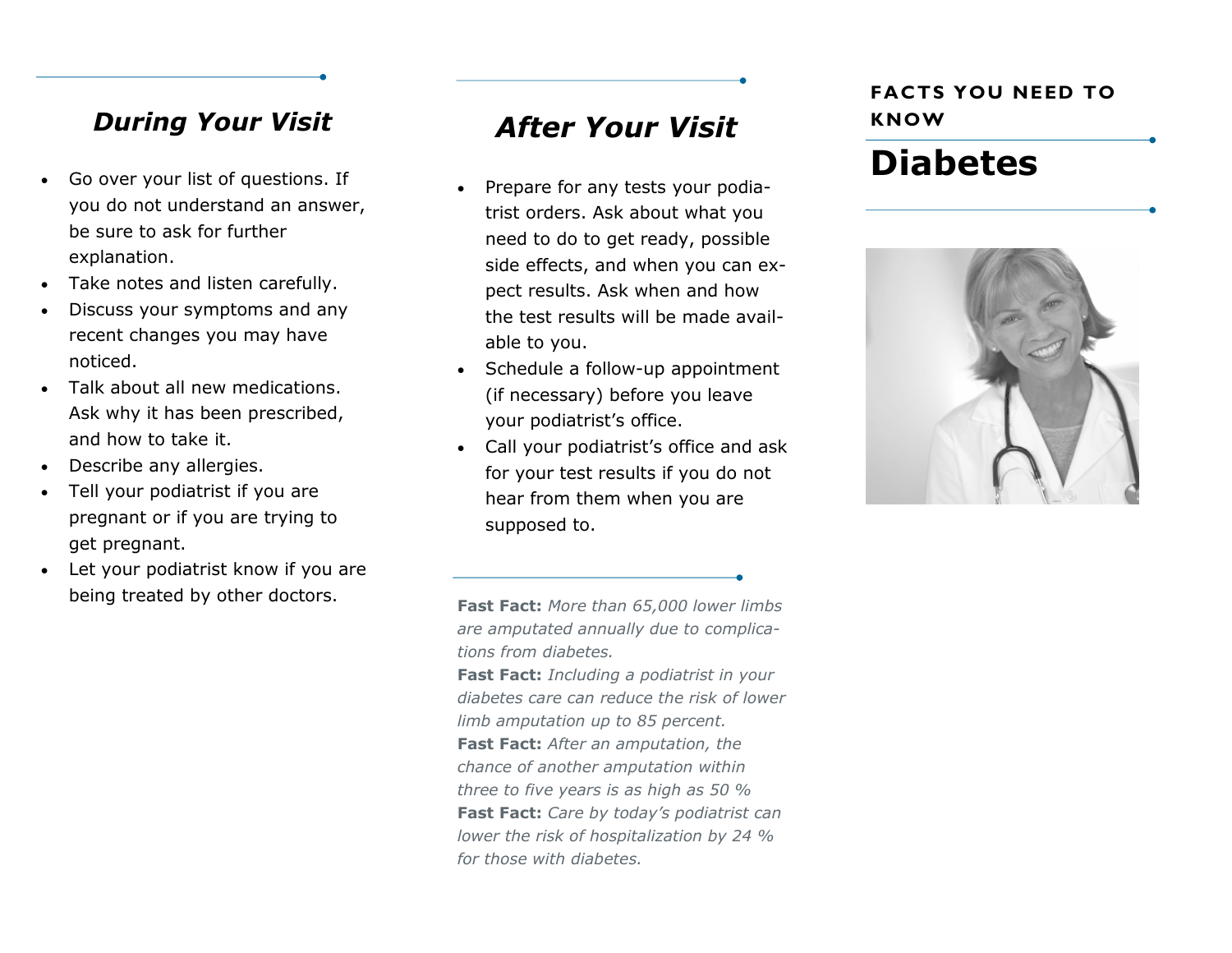### *During Your Visit*

- Go over your list of questions. If you do not understand an answer, be sure to ask for further explanation.
- Take notes and listen carefully.
- Discuss your symptoms and any recent changes you may have noticed.
- Talk about all new medications. Ask why it has been prescribed, and how to take it.
- Describe any allergies.
- Tell your podiatrist if you are pregnant or if you are trying to get pregnant.
- Let your podiatrist know if you are being treated by other doctors.

# *After Your Visit*

- Prepare for any tests your podiatrist orders. Ask about what you need to do to get ready, possible side effects, and when you can expect results. Ask when and how the test results will be made available to you.
- Schedule a follow-up appointment (if necessary) before you leave your podiatrist's office.
- Call your podiatrist's office and ask for your test results if you do not hear from them when you are supposed to.

**FACTS YOU NEED TO KNOW**

# **Diabetes**



**Fast Fact:** *More than 65,000 lower limbs are amputated annually due to complications from diabetes.*

**Fast Fact:** *Including a podiatrist in your diabetes care can reduce the risk of lower limb amputation up to 85 percent.* **Fast Fact:** *After an amputation, the chance of another amputation within three to five years is as high as 50 %* **Fast Fact:** *Care by today's podiatrist can lower the risk of hospitalization by 24 % for those with diabetes.*